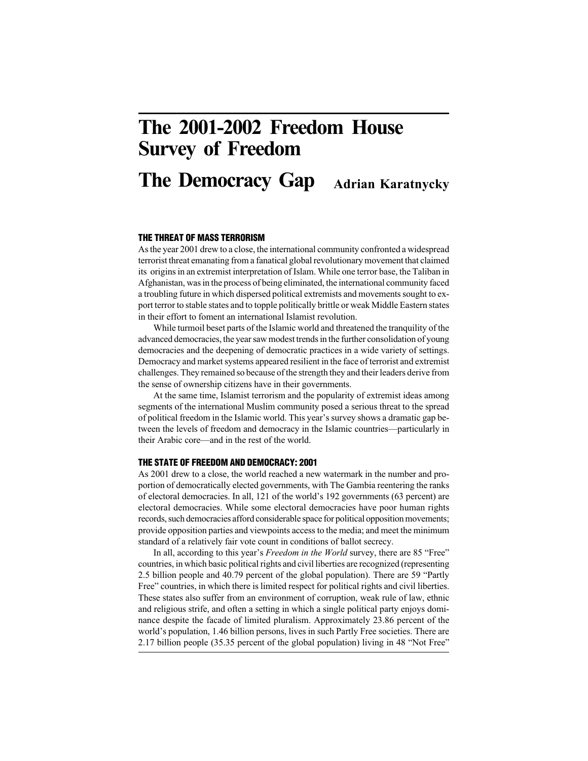# The 2001-2002 Freedom House Survey of Freedom

## Adrian Karatnycky The Democracy Gap

# **THE THREAT OF MASS TERRORISM**

As the year 2001 drew to a close, the international community confronted a widespread terrorist threat emanating from a fanatical global revolutionary movement that claimed its origins in an extremist interpretation of Islam. While one terror base, the Taliban in Afghanistan, was in the process of being eliminated, the international community faced a troubling future in which dispersed political extremists and movements sought to export terror to stable states and to topple politically brittle or weak Middle Eastern states in their effort to foment an international Islamist revolution.

While turmoil beset parts of the Islamic world and threatened the tranquility of the advanced democracies, the year saw modest trends in the further consolidation of young democracies and the deepening of democratic practices in a wide variety of settings. Democracy and market systems appeared resilient in the face of terrorist and extremist challenges. They remained so because of the strength they and their leaders derive from the sense of ownership citizens have in their governments.

At the same time, Islamist terrorism and the popularity of extremist ideas among segments of the international Muslim community posed a serious threat to the spread of political freedom in the Islamic world. This year's survey shows a dramatic gap between the levels of freedom and democracy in the Islamic countries—particularly in their Arabic core—and in the rest of the world.

# **THE STATE OF FREEDOM AND DEMOCRACY: 2001**

As 2001 drew to a close, the world reached a new watermark in the number and proportion of democratically elected governments, with The Gambia reentering the ranks of electoral democracies. In all, 121 of the world's 192 governments (63 percent) are electoral democracies. While some electoral democracies have poor human rights records, such democracies afford considerable space for political opposition movements; provide opposition parties and viewpoints access to the media; and meet the minimum standard of a relatively fair vote count in conditions of ballot secrecy.

In all, according to this year's *Freedom in the World* survey, there are 85 "Free" countries, in which basic political rights and civil liberties are recognized (representing 2.5 billion people and 40.79 percent of the global population). There are 59 "Partly Free" countries, in which there is limited respect for political rights and civil liberties. These states also suffer from an environment of corruption, weak rule of law, ethnic and religious strife, and often a setting in which a single political party enjoys dominance despite the facade of limited pluralism. Approximately 23.86 percent of the world's population, 1.46 billion persons, lives in such Partly Free societies. There are 2.17 billion people (35.35 percent of the global population) living in 48 "Not Free"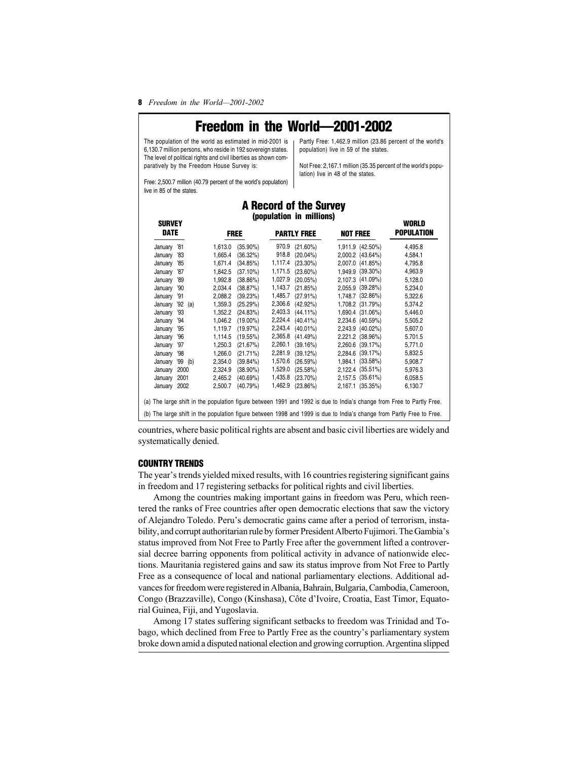**8** Freedom in the World—2001-2002

# **Freedom in the World—2001-2002**

The population of the world as estimated in mid-2001 is 6,130.7 million persons, who reside in 192 sovereign states. The level of political rights and civil liberties as shown comparatively by the Freedom House Survey is:

Partly Free: 1,462.9 million (23.86 percent of the world's population) live in 59 of the states.

Not Free: 2,167.1 million (35.35 percent of the world's population) live in 48 of the states.

**WORLD**

Free: 2,500.7 million (40.79 percent of the world's population) live in 85 of the states.

# **A Record of the Survey (population in millions)**

| 970.9<br>'81<br>1,613.0<br>$(35.90\%)$<br>$(21.60\%)$<br>1,911.9 (42.50%)<br>4,495.8<br>January<br>918.8<br>$(20.04\%)$<br>2,000.2 (43.64%)<br>January<br>1,665.4<br>(36.32%)<br>'83<br>4,584.1<br>1,117.4<br>2.007.0 (41.85%)<br>$(23.30\%)$<br>1,671.4<br>(34.85%)<br>'85<br>4,795.8<br>January<br>1,171.5 (23.60%)<br>1,949.9 (39.30%)<br>1,842.5<br>(37.10%)<br>January<br>'87<br>4,963.9<br>1,027.9<br>(20.05%)<br>2,107.3 (41.09%)<br>1,992.8<br>(38.86%)<br>5,128.0<br>January<br>'89<br>1,143.7<br>2.055.9 (39.28%)<br>(38.87%)<br>(21.85%)<br>2.034.4<br>5,234.0<br>'90<br>January<br>1,485.7<br>(39.23%)<br>$(27.91\%)$<br>1,748.7 (32.86%)<br>2,088.2<br>5,322.6<br>January<br>'91<br>2,306.6<br>$(42.92\%)$<br>(25.29%)<br>1,708.2 (31.79%)<br>$'92$ (a)<br>1,359.3<br>5,374.2<br>January<br>2,403.3<br>(24.83%)<br>$(44.11\%)$<br>1,690.4 (31.06%)<br>'93<br>1,352.2<br>5,446.0<br>January<br>2,224.4 (40.41%)<br>2,234.6 (40.59%)<br>1,046.2<br>$(19.00\%)$<br>January<br>'94<br>5,505.2<br>2,243.4<br>1,119.7<br>(19.97%)<br>$(40.01\%)$<br>2,243.9 (40.02%)<br>5,607.0<br>January<br>'95<br>2,365.8<br>2.221.2 (38.96%)<br>(19.55%)<br>$(41.49\%)$<br>1,114.5<br>5.701.5<br>January<br>'96<br>2,260.1<br>2,260.6 (39.17%)<br>(21.67%)<br>(39.16%)<br>January<br>1,250.3<br>5,771.0<br>'97<br>(21.71%)<br>2,281.9<br>2,284.6 (39.17%)<br>1,266.0<br>(39.12%)<br>5,832.5<br>January<br>'98<br>1,570.6<br>1,984.1 (33.58%)<br>(26.59%)<br>$'99$ (b)<br>2.354.0<br>$(39.84\%)$<br>5,908.7<br>January<br>1,529.0<br>2000<br>$(38.90\%)$<br>(25.58%)<br>2,122.4 (35.51%)<br>2,324.9<br>5,976.3<br>January<br>(40.69%)<br>1,435.8<br>$(23.70\%)$<br>2,157.5 (35.61%)<br>2001<br>2,465.2<br>6,058.5<br>January<br>1,462.9<br>(40.79%)<br>$(23.86\%)$<br>2,167.1 (35.35%)<br>January 2002<br>2,500.7<br>6,130.7<br>(a) The large shift in the population figure between 1991 and 1992 is due to India's change from Free to Partly Free.<br>(b) The large shift in the population figure between 1998 and 1999 is due to India's change from Partly Free to Free. | uunvli<br><b>DATE</b> |  | <b>FREE</b> | <b>PARTLY FREE</b> | <b>NOT FREE</b> | wvnlv<br><b>POPULATION</b> |  |
|--------------------------------------------------------------------------------------------------------------------------------------------------------------------------------------------------------------------------------------------------------------------------------------------------------------------------------------------------------------------------------------------------------------------------------------------------------------------------------------------------------------------------------------------------------------------------------------------------------------------------------------------------------------------------------------------------------------------------------------------------------------------------------------------------------------------------------------------------------------------------------------------------------------------------------------------------------------------------------------------------------------------------------------------------------------------------------------------------------------------------------------------------------------------------------------------------------------------------------------------------------------------------------------------------------------------------------------------------------------------------------------------------------------------------------------------------------------------------------------------------------------------------------------------------------------------------------------------------------------------------------------------------------------------------------------------------------------------------------------------------------------------------------------------------------------------------------------------------------------------------------------------------------------------------------------------------------------------------------------------------------------------------------------------------------------------------|-----------------------|--|-------------|--------------------|-----------------|----------------------------|--|
|                                                                                                                                                                                                                                                                                                                                                                                                                                                                                                                                                                                                                                                                                                                                                                                                                                                                                                                                                                                                                                                                                                                                                                                                                                                                                                                                                                                                                                                                                                                                                                                                                                                                                                                                                                                                                                                                                                                                                                                                                                                                          |                       |  |             |                    |                 |                            |  |
|                                                                                                                                                                                                                                                                                                                                                                                                                                                                                                                                                                                                                                                                                                                                                                                                                                                                                                                                                                                                                                                                                                                                                                                                                                                                                                                                                                                                                                                                                                                                                                                                                                                                                                                                                                                                                                                                                                                                                                                                                                                                          |                       |  |             |                    |                 |                            |  |
|                                                                                                                                                                                                                                                                                                                                                                                                                                                                                                                                                                                                                                                                                                                                                                                                                                                                                                                                                                                                                                                                                                                                                                                                                                                                                                                                                                                                                                                                                                                                                                                                                                                                                                                                                                                                                                                                                                                                                                                                                                                                          |                       |  |             |                    |                 |                            |  |
|                                                                                                                                                                                                                                                                                                                                                                                                                                                                                                                                                                                                                                                                                                                                                                                                                                                                                                                                                                                                                                                                                                                                                                                                                                                                                                                                                                                                                                                                                                                                                                                                                                                                                                                                                                                                                                                                                                                                                                                                                                                                          |                       |  |             |                    |                 |                            |  |
|                                                                                                                                                                                                                                                                                                                                                                                                                                                                                                                                                                                                                                                                                                                                                                                                                                                                                                                                                                                                                                                                                                                                                                                                                                                                                                                                                                                                                                                                                                                                                                                                                                                                                                                                                                                                                                                                                                                                                                                                                                                                          |                       |  |             |                    |                 |                            |  |
|                                                                                                                                                                                                                                                                                                                                                                                                                                                                                                                                                                                                                                                                                                                                                                                                                                                                                                                                                                                                                                                                                                                                                                                                                                                                                                                                                                                                                                                                                                                                                                                                                                                                                                                                                                                                                                                                                                                                                                                                                                                                          |                       |  |             |                    |                 |                            |  |
|                                                                                                                                                                                                                                                                                                                                                                                                                                                                                                                                                                                                                                                                                                                                                                                                                                                                                                                                                                                                                                                                                                                                                                                                                                                                                                                                                                                                                                                                                                                                                                                                                                                                                                                                                                                                                                                                                                                                                                                                                                                                          |                       |  |             |                    |                 |                            |  |
|                                                                                                                                                                                                                                                                                                                                                                                                                                                                                                                                                                                                                                                                                                                                                                                                                                                                                                                                                                                                                                                                                                                                                                                                                                                                                                                                                                                                                                                                                                                                                                                                                                                                                                                                                                                                                                                                                                                                                                                                                                                                          |                       |  |             |                    |                 |                            |  |
|                                                                                                                                                                                                                                                                                                                                                                                                                                                                                                                                                                                                                                                                                                                                                                                                                                                                                                                                                                                                                                                                                                                                                                                                                                                                                                                                                                                                                                                                                                                                                                                                                                                                                                                                                                                                                                                                                                                                                                                                                                                                          |                       |  |             |                    |                 |                            |  |
|                                                                                                                                                                                                                                                                                                                                                                                                                                                                                                                                                                                                                                                                                                                                                                                                                                                                                                                                                                                                                                                                                                                                                                                                                                                                                                                                                                                                                                                                                                                                                                                                                                                                                                                                                                                                                                                                                                                                                                                                                                                                          |                       |  |             |                    |                 |                            |  |
|                                                                                                                                                                                                                                                                                                                                                                                                                                                                                                                                                                                                                                                                                                                                                                                                                                                                                                                                                                                                                                                                                                                                                                                                                                                                                                                                                                                                                                                                                                                                                                                                                                                                                                                                                                                                                                                                                                                                                                                                                                                                          |                       |  |             |                    |                 |                            |  |
|                                                                                                                                                                                                                                                                                                                                                                                                                                                                                                                                                                                                                                                                                                                                                                                                                                                                                                                                                                                                                                                                                                                                                                                                                                                                                                                                                                                                                                                                                                                                                                                                                                                                                                                                                                                                                                                                                                                                                                                                                                                                          |                       |  |             |                    |                 |                            |  |
|                                                                                                                                                                                                                                                                                                                                                                                                                                                                                                                                                                                                                                                                                                                                                                                                                                                                                                                                                                                                                                                                                                                                                                                                                                                                                                                                                                                                                                                                                                                                                                                                                                                                                                                                                                                                                                                                                                                                                                                                                                                                          |                       |  |             |                    |                 |                            |  |
|                                                                                                                                                                                                                                                                                                                                                                                                                                                                                                                                                                                                                                                                                                                                                                                                                                                                                                                                                                                                                                                                                                                                                                                                                                                                                                                                                                                                                                                                                                                                                                                                                                                                                                                                                                                                                                                                                                                                                                                                                                                                          |                       |  |             |                    |                 |                            |  |
|                                                                                                                                                                                                                                                                                                                                                                                                                                                                                                                                                                                                                                                                                                                                                                                                                                                                                                                                                                                                                                                                                                                                                                                                                                                                                                                                                                                                                                                                                                                                                                                                                                                                                                                                                                                                                                                                                                                                                                                                                                                                          |                       |  |             |                    |                 |                            |  |
|                                                                                                                                                                                                                                                                                                                                                                                                                                                                                                                                                                                                                                                                                                                                                                                                                                                                                                                                                                                                                                                                                                                                                                                                                                                                                                                                                                                                                                                                                                                                                                                                                                                                                                                                                                                                                                                                                                                                                                                                                                                                          |                       |  |             |                    |                 |                            |  |
|                                                                                                                                                                                                                                                                                                                                                                                                                                                                                                                                                                                                                                                                                                                                                                                                                                                                                                                                                                                                                                                                                                                                                                                                                                                                                                                                                                                                                                                                                                                                                                                                                                                                                                                                                                                                                                                                                                                                                                                                                                                                          |                       |  |             |                    |                 |                            |  |
|                                                                                                                                                                                                                                                                                                                                                                                                                                                                                                                                                                                                                                                                                                                                                                                                                                                                                                                                                                                                                                                                                                                                                                                                                                                                                                                                                                                                                                                                                                                                                                                                                                                                                                                                                                                                                                                                                                                                                                                                                                                                          |                       |  |             |                    |                 |                            |  |
|                                                                                                                                                                                                                                                                                                                                                                                                                                                                                                                                                                                                                                                                                                                                                                                                                                                                                                                                                                                                                                                                                                                                                                                                                                                                                                                                                                                                                                                                                                                                                                                                                                                                                                                                                                                                                                                                                                                                                                                                                                                                          |                       |  |             |                    |                 |                            |  |
|                                                                                                                                                                                                                                                                                                                                                                                                                                                                                                                                                                                                                                                                                                                                                                                                                                                                                                                                                                                                                                                                                                                                                                                                                                                                                                                                                                                                                                                                                                                                                                                                                                                                                                                                                                                                                                                                                                                                                                                                                                                                          |                       |  |             |                    |                 |                            |  |

countries, where basic political rights are absent and basic civil liberties are widely and systematically denied.

# **COUNTRY TRENDS**

**SURVEY**

The year's trends yielded mixed results, with 16 countries registering significant gains in freedom and 17 registering setbacks for political rights and civil liberties.

Among the countries making important gains in freedom was Peru, which reentered the ranks of Free countries after open democratic elections that saw the victory of Alejandro Toledo. Peru's democratic gains came after a period of terrorism, instability, and corrupt authoritarian rule by former President Alberto Fujimori. The Gambia's status improved from Not Free to Partly Free after the government lifted a controversial decree barring opponents from political activity in advance of nationwide elections. Mauritania registered gains and saw its status improve from Not Free to Partly Free as a consequence of local and national parliamentary elections. Additional advances for freedom were registered in Albania, Bahrain, Bulgaria, Cambodia, Cameroon, Congo (Brazzaville), Congo (Kinshasa), Côte d'Ivoire, Croatia, East Timor, Equatorial Guinea, Fiji, and Yugoslavia.

Among 17 states suffering significant setbacks to freedom was Trinidad and Tobago, which declined from Free to Partly Free as the country's parliamentary system broke down amid a disputed national election and growing corruption. Argentina slipped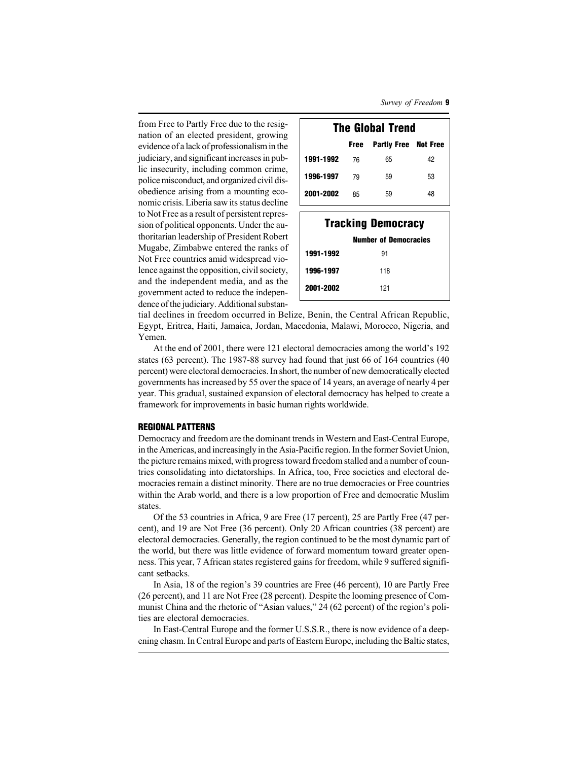Survey of Freedom **9**

from Free to Partly Free due to the resignation of an elected president, growing evidence of a lack of professionalism in the judiciary, and significant increases in public insecurity, including common crime, police misconduct, and organized civil disobedience arising from a mounting economic crisis. Liberia saw its status decline to Not Free as a result of persistent repression of political opponents. Under the authoritarian leadership of President Robert Mugabe, Zimbabwe entered the ranks of Not Free countries amid widespread violence against the opposition, civil society, and the independent media, and as the government acted to reduce the independence of the judiciary. Additional substan-

| <b>The Global Trend</b> |    |                                  |    |  |  |  |
|-------------------------|----|----------------------------------|----|--|--|--|
|                         |    | <b>Free</b> Partly Free Not Free |    |  |  |  |
| 1991-1992               | 76 | 65                               | 42 |  |  |  |
| 1996-1997               | 79 | 59                               | 53 |  |  |  |
| 2001-2002               | 85 | 59                               | 48 |  |  |  |

| <b>Tracking Democracy</b> |                              |  |  |  |
|---------------------------|------------------------------|--|--|--|
|                           | <b>Number of Democracies</b> |  |  |  |
| 1991-1992                 | 91                           |  |  |  |
| 1996-1997                 | 118                          |  |  |  |
| 2001-2002                 | 121                          |  |  |  |

tial declines in freedom occurred in Belize, Benin, the Central African Republic, Egypt, Eritrea, Haiti, Jamaica, Jordan, Macedonia, Malawi, Morocco, Nigeria, and Yemen.

At the end of 2001, there were 121 electoral democracies among the world's 192 states (63 percent). The 1987-88 survey had found that just 66 of 164 countries (40 percent) were electoral democracies. In short, the number of new democratically elected governments has increased by 55 over the space of 14 years, an average of nearly 4 per year. This gradual, sustained expansion of electoral democracy has helped to create a framework for improvements in basic human rights worldwide.

# **REGIONAL PATTERNS**

Democracy and freedom are the dominant trends in Western and East-Central Europe, in the Americas, and increasingly in the Asia-Pacific region. In the former Soviet Union, the picture remains mixed, with progress toward freedom stalled and a number of countries consolidating into dictatorships. In Africa, too, Free societies and electoral democracies remain a distinct minority. There are no true democracies or Free countries within the Arab world, and there is a low proportion of Free and democratic Muslim states.

Of the 53 countries in Africa, 9 are Free (17 percent), 25 are Partly Free (47 percent), and 19 are Not Free (36 percent). Only 20 African countries (38 percent) are electoral democracies. Generally, the region continued to be the most dynamic part of the world, but there was little evidence of forward momentum toward greater openness. This year, 7 African states registered gains for freedom, while 9 suffered significant setbacks.

In Asia, 18 of the region's 39 countries are Free (46 percent), 10 are Partly Free (26 percent), and 11 are Not Free (28 percent). Despite the looming presence of Communist China and the rhetoric of "Asian values," 24 (62 percent) of the region's polities are electoral democracies.

In East-Central Europe and the former U.S.S.R., there is now evidence of a deepening chasm. In Central Europe and parts of Eastern Europe, including the Baltic states,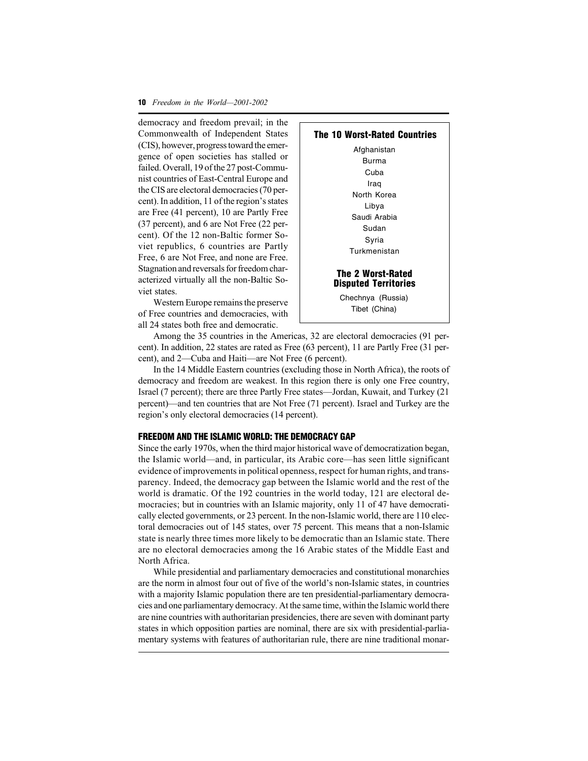**10** Freedom in the World—2001-2002

democracy and freedom prevail; in the Commonwealth of Independent States (CIS), however, progress toward the emergence of open societies has stalled or failed. Overall, 19 of the 27 post-Communist countries of East-Central Europe and the CIS are electoral democracies (70 percent). In addition, 11 of the region's states are Free (41 percent), 10 are Partly Free (37 percent), and 6 are Not Free (22 percent). Of the 12 non-Baltic former Soviet republics, 6 countries are Partly Free, 6 are Not Free, and none are Free. Stagnation and reversals for freedom characterized virtually all the non-Baltic Soviet states.

Western Europe remains the preserve of Free countries and democracies, with all 24 states both free and democratic.



Among the 35 countries in the Americas, 32 are electoral democracies (91 percent). In addition, 22 states are rated as Free (63 percent), 11 are Partly Free (31 percent), and 2—Cuba and Haiti—are Not Free (6 percent).

In the 14 Middle Eastern countries (excluding those in North Africa), the roots of democracy and freedom are weakest. In this region there is only one Free country, Israel (7 percent); there are three Partly Free states—Jordan, Kuwait, and Turkey (21 percent)—and ten countries that are Not Free (71 percent). Israel and Turkey are the region's only electoral democracies (14 percent).

#### **FREEDOM AND THE ISLAMIC WORLD: THE DEMOCRACY GAP**

Since the early 1970s, when the third major historical wave of democratization began, the Islamic world—and, in particular, its Arabic core—has seen little significant evidence of improvements in political openness, respect for human rights, and transparency. Indeed, the democracy gap between the Islamic world and the rest of the world is dramatic. Of the 192 countries in the world today, 121 are electoral democracies; but in countries with an Islamic majority, only 11 of 47 have democratically elected governments, or 23 percent. In the non-Islamic world, there are 110 electoral democracies out of 145 states, over 75 percent. This means that a non-Islamic state is nearly three times more likely to be democratic than an Islamic state. There are no electoral democracies among the 16 Arabic states of the Middle East and North Africa.

While presidential and parliamentary democracies and constitutional monarchies are the norm in almost four out of five of the world's non-Islamic states, in countries with a majority Islamic population there are ten presidential-parliamentary democracies and one parliamentary democracy. At the same time, within the Islamic world there are nine countries with authoritarian presidencies, there are seven with dominant party states in which opposition parties are nominal, there are six with presidential-parliamentary systems with features of authoritarian rule, there are nine traditional monar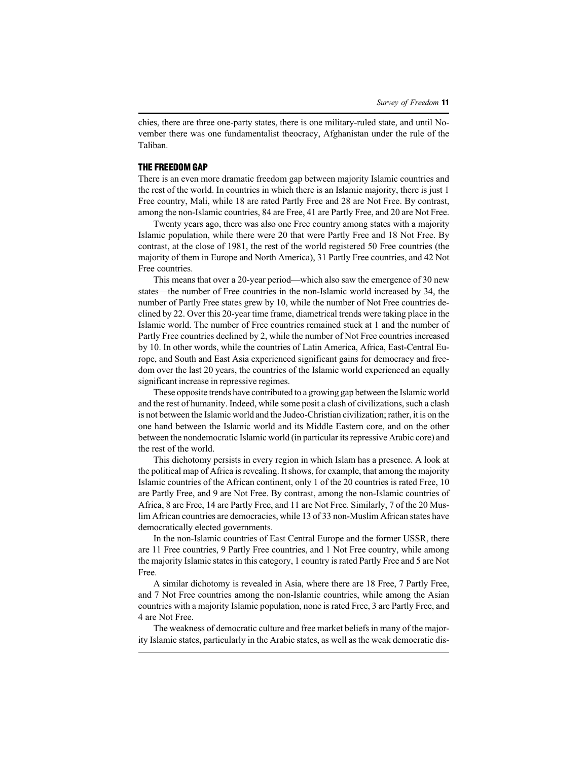chies, there are three one-party states, there is one military-ruled state, and until November there was one fundamentalist theocracy, Afghanistan under the rule of the Taliban.

#### **THE FREEDOM GAP**

There is an even more dramatic freedom gap between majority Islamic countries and the rest of the world. In countries in which there is an Islamic majority, there is just 1 Free country, Mali, while 18 are rated Partly Free and 28 are Not Free. By contrast, among the non-Islamic countries, 84 are Free, 41 are Partly Free, and 20 are Not Free.

Twenty years ago, there was also one Free country among states with a majority Islamic population, while there were 20 that were Partly Free and 18 Not Free. By contrast, at the close of 1981, the rest of the world registered 50 Free countries (the majority of them in Europe and North America), 31 Partly Free countries, and 42 Not Free countries.

This means that over a 20-year period—which also saw the emergence of 30 new states—the number of Free countries in the non-Islamic world increased by 34, the number of Partly Free states grew by 10, while the number of Not Free countries declined by 22. Over this 20-year time frame, diametrical trends were taking place in the Islamic world. The number of Free countries remained stuck at 1 and the number of Partly Free countries declined by 2, while the number of Not Free countries increased by 10. In other words, while the countries of Latin America, Africa, East-Central Europe, and South and East Asia experienced significant gains for democracy and freedom over the last 20 years, the countries of the Islamic world experienced an equally significant increase in repressive regimes.

These opposite trends have contributed to a growing gap between the Islamic world and the rest of humanity. Indeed, while some posit a clash of civilizations, such a clash is not between the Islamic world and the Judeo-Christian civilization; rather, it is on the one hand between the Islamic world and its Middle Eastern core, and on the other between the nondemocratic Islamic world (in particular its repressive Arabic core) and the rest of the world.

This dichotomy persists in every region in which Islam has a presence. A look at the political map of Africa is revealing. It shows, for example, that among the majority Islamic countries of the African continent, only 1 of the 20 countries is rated Free, 10 are Partly Free, and 9 are Not Free. By contrast, among the non-Islamic countries of Africa, 8 are Free, 14 are Partly Free, and 11 are Not Free. Similarly, 7 of the 20 Muslim African countries are democracies, while 13 of 33 non-Muslim African states have democratically elected governments.

In the non-Islamic countries of East Central Europe and the former USSR, there are 11 Free countries, 9 Partly Free countries, and 1 Not Free country, while among the majority Islamic states in this category, 1 country is rated Partly Free and 5 are Not Free.

A similar dichotomy is revealed in Asia, where there are 18 Free, 7 Partly Free, and 7 Not Free countries among the non-Islamic countries, while among the Asian countries with a majority Islamic population, none is rated Free, 3 are Partly Free, and 4 are Not Free.

The weakness of democratic culture and free market beliefs in many of the majority Islamic states, particularly in the Arabic states, as well as the weak democratic dis-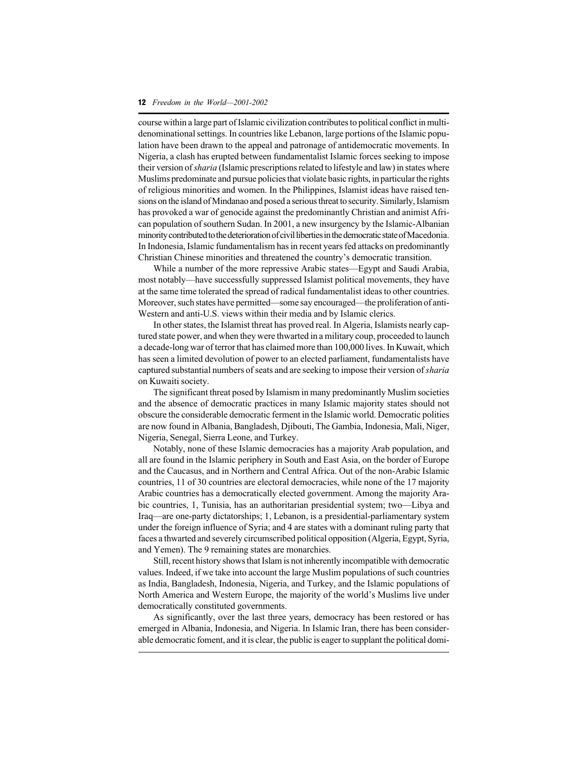#### **12** Freedom in the World—2001-2002

course within a large part of Islamic civilization contributes to political conflict in multidenominational settings. In countries like Lebanon, large portions of the Islamic population have been drawn to the appeal and patronage of antidemocratic movements. In Nigeria, a clash has erupted between fundamentalist Islamic forces seeking to impose their version of sharia (Islamic prescriptions related to lifestyle and law) in states where Muslims predominate and pursue policies that violate basic rights, in particular the rights of religious minorities and women. In the Philippines, Islamist ideas have raised tensions on the island of Mindanao and posed a serious threat to security. Similarly, Islamism has provoked a war of genocide against the predominantly Christian and animist African population of southern Sudan. In 2001, a new insurgency by the Islamic-Albanian minority contributed to the deterioration of civil liberties in the democratic state of Macedonia. In Indonesia, Islamic fundamentalism has in recent years fed attacks on predominantly Christian Chinese minorities and threatened the country's democratic transition.

While a number of the more repressive Arabic states—Egypt and Saudi Arabia, most notably—have successfully suppressed Islamist political movements, they have at the same time tolerated the spread of radical fundamentalist ideas to other countries. Moreover, such states have permitted—some say encouraged—the proliferation of anti-Western and anti-U.S. views within their media and by Islamic clerics.

In other states, the Islamist threat has proved real. In Algeria, Islamists nearly captured state power, and when they were thwarted in a military coup, proceeded to launch a decade-long war of terror that has claimed more than 100,000 lives. In Kuwait, which has seen a limited devolution of power to an elected parliament, fundamentalists have captured substantial numbers of seats and are seeking to impose their version of sharia on Kuwaiti society.

The significant threat posed by Islamism in many predominantly Muslim societies and the absence of democratic practices in many Islamic majority states should not obscure the considerable democratic ferment in the Islamic world. Democratic polities are now found in Albania, Bangladesh, Djibouti, The Gambia, Indonesia, Mali, Niger, Nigeria, Senegal, Sierra Leone, and Turkey.

Notably, none of these Islamic democracies has a majority Arab population, and all are found in the Islamic periphery in South and East Asia, on the border of Europe and the Caucasus, and in Northern and Central Africa. Out of the non-Arabic Islamic countries, 11 of 30 countries are electoral democracies, while none of the 17 majority Arabic countries has a democratically elected government. Among the majority Arabic countries, 1, Tunisia, has an authoritarian presidential system; two—Libya and Iraq—are one-party dictatorships; 1, Lebanon, is a presidential-parliamentary system under the foreign influence of Syria; and 4 are states with a dominant ruling party that faces a thwarted and severely circumscribed political opposition (Algeria, Egypt, Syria, and Yemen). The 9 remaining states are monarchies.

Still, recent history shows that Islam is not inherently incompatible with democratic values. Indeed, if we take into account the large Muslim populations of such countries as India, Bangladesh, Indonesia, Nigeria, and Turkey, and the Islamic populations of North America and Western Europe, the majority of the world's Muslims live under democratically constituted governments.

As significantly, over the last three years, democracy has been restored or has emerged in Albania, Indonesia, and Nigeria. In Islamic Iran, there has been considerable democratic foment, and it is clear, the public is eager to supplant the political domi-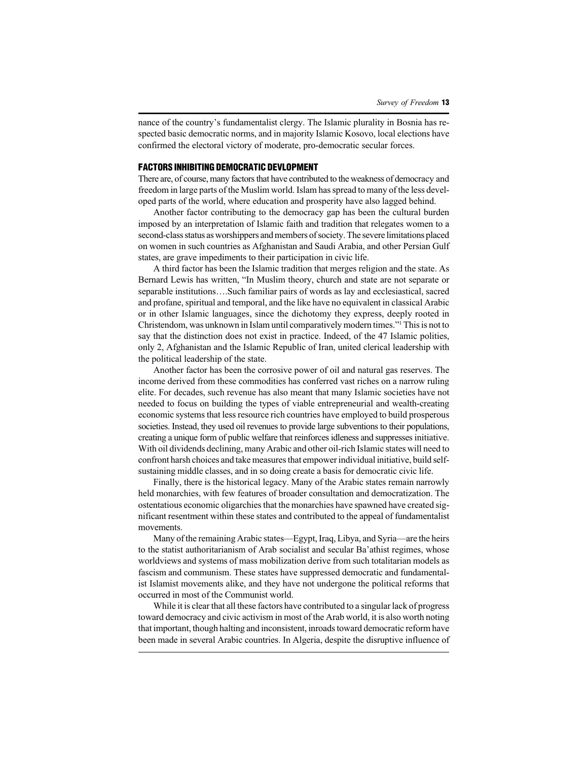nance of the country's fundamentalist clergy. The Islamic plurality in Bosnia has respected basic democratic norms, and in majority Islamic Kosovo, local elections have confirmed the electoral victory of moderate, pro-democratic secular forces.

#### **FACTORS INHIBITING DEMOCRATIC DEVLOPMENT**

There are, of course, many factors that have contributed to the weakness of democracy and freedom in large parts of the Muslim world. Islam has spread to many of the less developed parts of the world, where education and prosperity have also lagged behind.

Another factor contributing to the democracy gap has been the cultural burden imposed by an interpretation of Islamic faith and tradition that relegates women to a second-class status as worshippers and members of society. The severe limitations placed on women in such countries as Afghanistan and Saudi Arabia, and other Persian Gulf states, are grave impediments to their participation in civic life.

A third factor has been the Islamic tradition that merges religion and the state. As Bernard Lewis has written, "In Muslim theory, church and state are not separate or separable institutions….Such familiar pairs of words as lay and ecclesiastical, sacred and profane, spiritual and temporal, and the like have no equivalent in classical Arabic or in other Islamic languages, since the dichotomy they express, deeply rooted in Christendom, was unknown in Islam until comparatively modern times."<sup>1</sup> This is not to say that the distinction does not exist in practice. Indeed, of the 47 Islamic polities, only 2, Afghanistan and the Islamic Republic of Iran, united clerical leadership with the political leadership of the state.

Another factor has been the corrosive power of oil and natural gas reserves. The income derived from these commodities has conferred vast riches on a narrow ruling elite. For decades, such revenue has also meant that many Islamic societies have not needed to focus on building the types of viable entrepreneurial and wealth-creating economic systems that less resource rich countries have employed to build prosperous societies. Instead, they used oil revenues to provide large subventions to their populations, creating a unique form of public welfare that reinforces idleness and suppresses initiative. With oil dividends declining, many Arabic and other oil-rich Islamic states will need to confront harsh choices and take measures that empower individual initiative, build selfsustaining middle classes, and in so doing create a basis for democratic civic life.

Finally, there is the historical legacy. Many of the Arabic states remain narrowly held monarchies, with few features of broader consultation and democratization. The ostentatious economic oligarchies that the monarchies have spawned have created significant resentment within these states and contributed to the appeal of fundamentalist movements.

Many of the remaining Arabic states—Egypt, Iraq, Libya, and Syria—are the heirs to the statist authoritarianism of Arab socialist and secular Ba'athist regimes, whose worldviews and systems of mass mobilization derive from such totalitarian models as fascism and communism. These states have suppressed democratic and fundamentalist Islamist movements alike, and they have not undergone the political reforms that occurred in most of the Communist world.

While it is clear that all these factors have contributed to a singular lack of progress toward democracy and civic activism in most of the Arab world, it is also worth noting that important, though halting and inconsistent, inroads toward democratic reform have been made in several Arabic countries. In Algeria, despite the disruptive influence of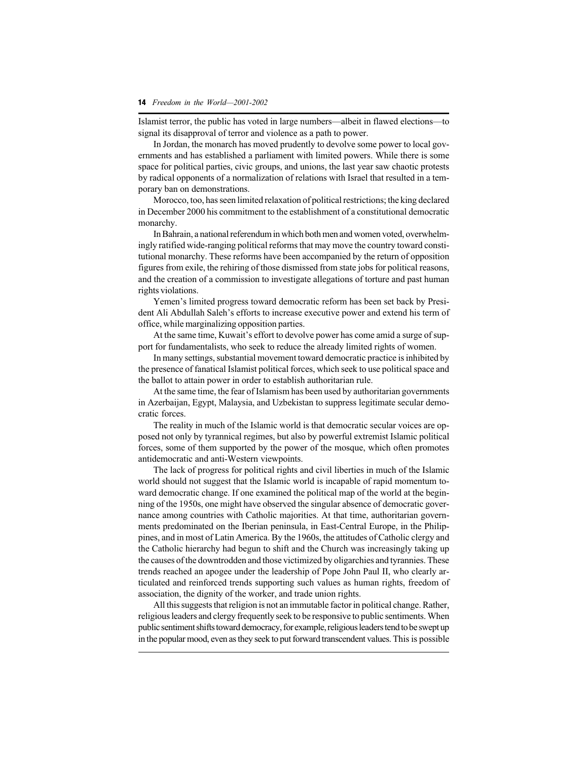Islamist terror, the public has voted in large numbers—albeit in flawed elections—to signal its disapproval of terror and violence as a path to power.

In Jordan, the monarch has moved prudently to devolve some power to local governments and has established a parliament with limited powers. While there is some space for political parties, civic groups, and unions, the last year saw chaotic protests by radical opponents of a normalization of relations with Israel that resulted in a temporary ban on demonstrations.

Morocco, too, has seen limited relaxation of political restrictions; the king declared in December 2000 his commitment to the establishment of a constitutional democratic monarchy.

In Bahrain, a national referendum in which both men and women voted, overwhelmingly ratified wide-ranging political reforms that may move the country toward constitutional monarchy. These reforms have been accompanied by the return of opposition figures from exile, the rehiring of those dismissed from state jobs for political reasons, and the creation of a commission to investigate allegations of torture and past human rights violations.

Yemen's limited progress toward democratic reform has been set back by President Ali Abdullah Saleh's efforts to increase executive power and extend his term of office, while marginalizing opposition parties.

At the same time, Kuwait's effort to devolve power has come amid a surge of support for fundamentalists, who seek to reduce the already limited rights of women.

In many settings, substantial movement toward democratic practice is inhibited by the presence of fanatical Islamist political forces, which seek to use political space and the ballot to attain power in order to establish authoritarian rule.

At the same time, the fear of Islamism has been used by authoritarian governments in Azerbaijan, Egypt, Malaysia, and Uzbekistan to suppress legitimate secular democratic forces.

The reality in much of the Islamic world is that democratic secular voices are opposed not only by tyrannical regimes, but also by powerful extremist Islamic political forces, some of them supported by the power of the mosque, which often promotes antidemocratic and anti-Western viewpoints.

The lack of progress for political rights and civil liberties in much of the Islamic world should not suggest that the Islamic world is incapable of rapid momentum toward democratic change. If one examined the political map of the world at the beginning of the 1950s, one might have observed the singular absence of democratic governance among countries with Catholic majorities. At that time, authoritarian governments predominated on the Iberian peninsula, in East-Central Europe, in the Philippines, and in most of Latin America. By the 1960s, the attitudes of Catholic clergy and the Catholic hierarchy had begun to shift and the Church was increasingly taking up the causes of the downtrodden and those victimized by oligarchies and tyrannies. These trends reached an apogee under the leadership of Pope John Paul II, who clearly articulated and reinforced trends supporting such values as human rights, freedom of association, the dignity of the worker, and trade union rights.

All this suggests that religion is not an immutable factor in political change. Rather, religious leaders and clergy frequently seek to be responsive to public sentiments. When public sentiment shifts toward democracy, for example, religious leaders tend to be swept up in the popular mood, even as they seek to put forward transcendent values. This is possible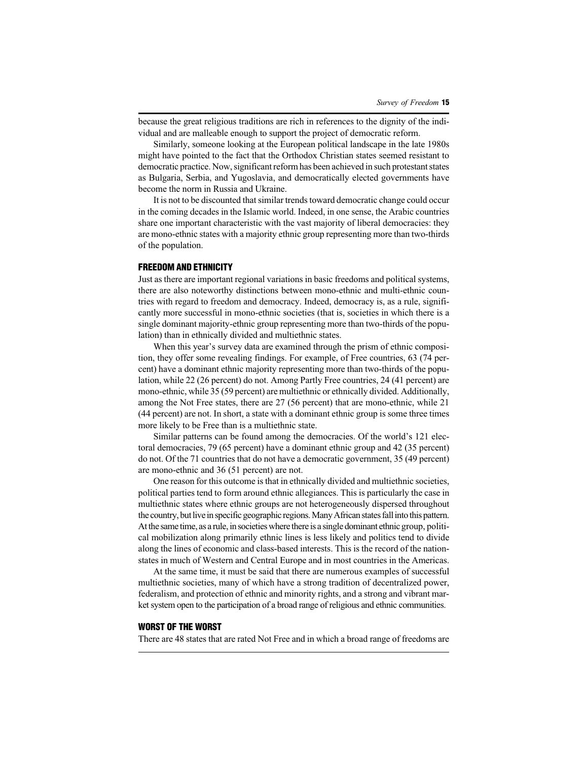because the great religious traditions are rich in references to the dignity of the individual and are malleable enough to support the project of democratic reform.

Similarly, someone looking at the European political landscape in the late 1980s might have pointed to the fact that the Orthodox Christian states seemed resistant to democratic practice. Now, significant reform has been achieved in such protestant states as Bulgaria, Serbia, and Yugoslavia, and democratically elected governments have become the norm in Russia and Ukraine.

It is not to be discounted that similar trends toward democratic change could occur in the coming decades in the Islamic world. Indeed, in one sense, the Arabic countries share one important characteristic with the vast majority of liberal democracies: they are mono-ethnic states with a majority ethnic group representing more than two-thirds of the population.

# **FREEDOM AND ETHNICITY**

Just as there are important regional variations in basic freedoms and political systems, there are also noteworthy distinctions between mono-ethnic and multi-ethnic countries with regard to freedom and democracy. Indeed, democracy is, as a rule, significantly more successful in mono-ethnic societies (that is, societies in which there is a single dominant majority-ethnic group representing more than two-thirds of the population) than in ethnically divided and multiethnic states.

When this year's survey data are examined through the prism of ethnic composition, they offer some revealing findings. For example, of Free countries, 63 (74 percent) have a dominant ethnic majority representing more than two-thirds of the population, while 22 (26 percent) do not. Among Partly Free countries, 24 (41 percent) are mono-ethnic, while 35 (59 percent) are multiethnic or ethnically divided. Additionally, among the Not Free states, there are 27 (56 percent) that are mono-ethnic, while 21 (44 percent) are not. In short, a state with a dominant ethnic group is some three times more likely to be Free than is a multiethnic state.

Similar patterns can be found among the democracies. Of the world's 121 electoral democracies, 79 (65 percent) have a dominant ethnic group and 42 (35 percent) do not. Of the 71 countries that do not have a democratic government, 35 (49 percent) are mono-ethnic and 36 (51 percent) are not.

One reason for this outcome is that in ethnically divided and multiethnic societies, political parties tend to form around ethnic allegiances. This is particularly the case in multiethnic states where ethnic groups are not heterogeneously dispersed throughout the country, but live in specific geographic regions. Many African states fall into this pattern. At the same time, as a rule, in societies where there is a single dominant ethnic group, political mobilization along primarily ethnic lines is less likely and politics tend to divide along the lines of economic and class-based interests. This is the record of the nationstates in much of Western and Central Europe and in most countries in the Americas.

At the same time, it must be said that there are numerous examples of successful multiethnic societies, many of which have a strong tradition of decentralized power, federalism, and protection of ethnic and minority rights, and a strong and vibrant market system open to the participation of a broad range of religious and ethnic communities.

#### **WORST OF THE WORST**

There are 48 states that are rated Not Free and in which a broad range of freedoms are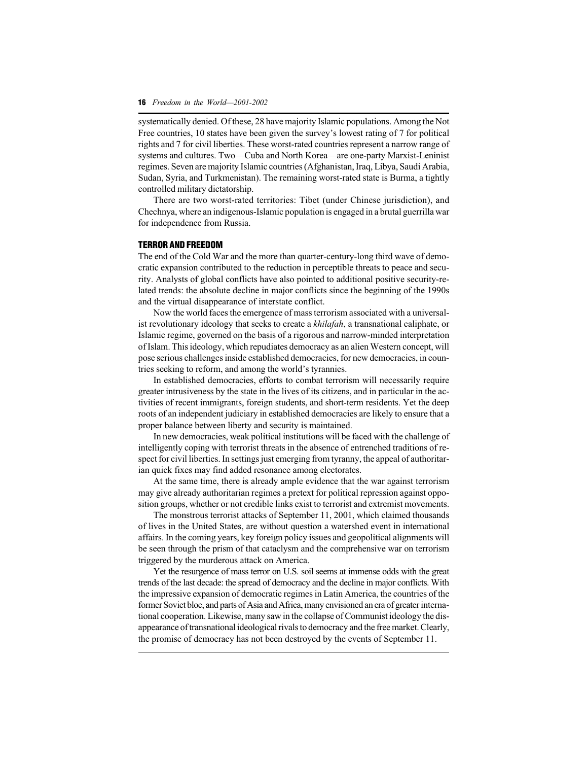systematically denied. Of these, 28 have majority Islamic populations. Among the Not Free countries, 10 states have been given the survey's lowest rating of 7 for political rights and 7 for civil liberties. These worst-rated countries represent a narrow range of systems and cultures. Two—Cuba and North Korea—are one-party Marxist-Leninist regimes. Seven are majority Islamic countries (Afghanistan, Iraq, Libya, Saudi Arabia, Sudan, Syria, and Turkmenistan). The remaining worst-rated state is Burma, a tightly controlled military dictatorship.

There are two worst-rated territories: Tibet (under Chinese jurisdiction), and Chechnya, where an indigenous-Islamic population is engaged in a brutal guerrilla war for independence from Russia.

#### **TERROR AND FREEDOM**

The end of the Cold War and the more than quarter-century-long third wave of democratic expansion contributed to the reduction in perceptible threats to peace and security. Analysts of global conflicts have also pointed to additional positive security-related trends: the absolute decline in major conflicts since the beginning of the 1990s and the virtual disappearance of interstate conflict.

Now the world faces the emergence of mass terrorism associated with a universalist revolutionary ideology that seeks to create a *khilafah*, a transnational caliphate, or Islamic regime, governed on the basis of a rigorous and narrow-minded interpretation of Islam. This ideology, which repudiates democracy as an alien Western concept, will pose serious challenges inside established democracies, for new democracies, in countries seeking to reform, and among the world's tyrannies.

In established democracies, efforts to combat terrorism will necessarily require greater intrusiveness by the state in the lives of its citizens, and in particular in the activities of recent immigrants, foreign students, and short-term residents. Yet the deep roots of an independent judiciary in established democracies are likely to ensure that a proper balance between liberty and security is maintained.

In new democracies, weak political institutions will be faced with the challenge of intelligently coping with terrorist threats in the absence of entrenched traditions of respect for civil liberties. In settings just emerging from tyranny, the appeal of authoritarian quick fixes may find added resonance among electorates.

At the same time, there is already ample evidence that the war against terrorism may give already authoritarian regimes a pretext for political repression against opposition groups, whether or not credible links exist to terrorist and extremist movements.

The monstrous terrorist attacks of September 11, 2001, which claimed thousands of lives in the United States, are without question a watershed event in international affairs. In the coming years, key foreign policy issues and geopolitical alignments will be seen through the prism of that cataclysm and the comprehensive war on terrorism triggered by the murderous attack on America.

Yet the resurgence of mass terror on U.S. soil seems at immense odds with the great trends of the last decade: the spread of democracy and the decline in major conflicts. With the impressive expansion of democratic regimes in Latin America, the countries of the former Soviet bloc, and parts of Asia and Africa, many envisioned an era of greater international cooperation. Likewise, many saw in the collapse of Communist ideology the disappearance of transnational ideological rivals to democracy and the free market. Clearly, the promise of democracy has not been destroyed by the events of September 11.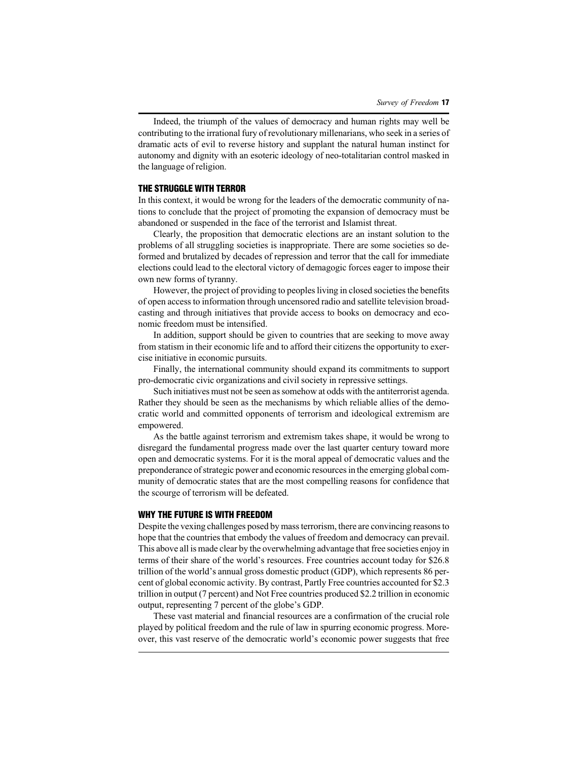Indeed, the triumph of the values of democracy and human rights may well be contributing to the irrational fury of revolutionary millenarians, who seek in a series of dramatic acts of evil to reverse history and supplant the natural human instinct for autonomy and dignity with an esoteric ideology of neo-totalitarian control masked in the language of religion.

#### **THE STRUGGLE WITH TERROR**

In this context, it would be wrong for the leaders of the democratic community of nations to conclude that the project of promoting the expansion of democracy must be abandoned or suspended in the face of the terrorist and Islamist threat.

Clearly, the proposition that democratic elections are an instant solution to the problems of all struggling societies is inappropriate. There are some societies so deformed and brutalized by decades of repression and terror that the call for immediate elections could lead to the electoral victory of demagogic forces eager to impose their own new forms of tyranny.

However, the project of providing to peoples living in closed societies the benefits of open access to information through uncensored radio and satellite television broadcasting and through initiatives that provide access to books on democracy and economic freedom must be intensified.

In addition, support should be given to countries that are seeking to move away from statism in their economic life and to afford their citizens the opportunity to exercise initiative in economic pursuits.

Finally, the international community should expand its commitments to support pro-democratic civic organizations and civil society in repressive settings.

Such initiatives must not be seen as somehow at odds with the antiterrorist agenda. Rather they should be seen as the mechanisms by which reliable allies of the democratic world and committed opponents of terrorism and ideological extremism are empowered.

As the battle against terrorism and extremism takes shape, it would be wrong to disregard the fundamental progress made over the last quarter century toward more open and democratic systems. For it is the moral appeal of democratic values and the preponderance of strategic power and economic resources in the emerging global community of democratic states that are the most compelling reasons for confidence that the scourge of terrorism will be defeated.

## **WHY THE FUTURE IS WITH FREEDOM**

Despite the vexing challenges posed by mass terrorism, there are convincing reasons to hope that the countries that embody the values of freedom and democracy can prevail. This above all is made clear by the overwhelming advantage that free societies enjoy in terms of their share of the world's resources. Free countries account today for \$26.8 trillion of the world's annual gross domestic product (GDP), which represents 86 percent of global economic activity. By contrast, Partly Free countries accounted for \$2.3 trillion in output (7 percent) and Not Free countries produced \$2.2 trillion in economic output, representing 7 percent of the globe's GDP.

These vast material and financial resources are a confirmation of the crucial role played by political freedom and the rule of law in spurring economic progress. Moreover, this vast reserve of the democratic world's economic power suggests that free